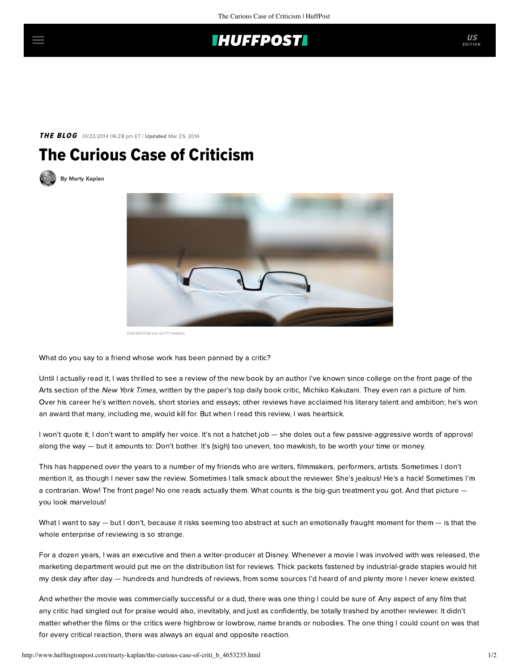## **IHUFFPOSTI**

**THE BLOG** 01/23/2014 06:28 pm ET | Updated Mar 25, 2014

## The Curious Case of Criticism





TOM MERTON VIA GETTY IMAGES

What do you say to a friend whose work has been panned by a critic?

Until I actually read it, I was thrilled to see a review of the new book by an author I've known since college on the front page of the Arts section of the New York Times, written by the paper's top daily book critic, Michiko Kakutani. They even ran a picture of him. Over his career he's written novels, short stories and essays; other reviews have acclaimed his literary talent and ambition; he's won an award that many, including me, would kill for. But when I read this review, I was heartsick.

I won't quote it; I don't want to amplify her voice. It's not a hatchet job — she doles out a few passive-aggressive words of approval along the way — but it amounts to: Don't bother. It's (sigh) too uneven, too mawkish, to be worth your time or money.

This has happened over the years to a number of my friends who are writers, filmmakers, performers, artists. Sometimes I don't mention it, as though I never saw the review. Sometimes I talk smack about the reviewer. She's jealous! He's a hack! Sometimes I'm a contrarian. Wow! The front page! No one reads actually them. What counts is the big-gun treatment you got. And that picture you look marvelous!

What I want to say — but I don't, because it risks seeming too abstract at such an emotionally fraught moment for them — is that the whole enterprise of reviewing is so strange.

For a dozen years, I was an executive and then a writer-producer at Disney. Whenever a movie I was involved with was released, the marketing department would put me on the distribution list for reviews. Thick packets fastened by industrial-grade staples would hit my desk day after day — hundreds and hundreds of reviews, from some sources I'd heard of and plenty more I never knew existed.

And whether the movie was commercially successful or a dud, there was one thing I could be sure of. Any aspect of any film that any critic had singled out for praise would also, inevitably, and just as confidently, be totally trashed by another reviewer. It didn't matter whether the films or the critics were highbrow or lowbrow, name brands or nobodies. The one thing I could count on was that for every critical reaction, there was always an equal and opposite reaction.